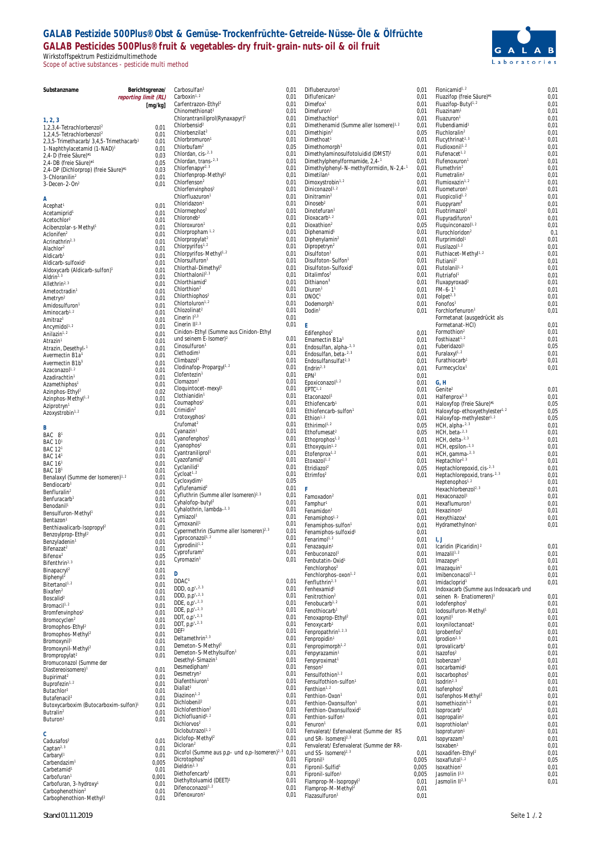# **GALAB Pestizide 500Plus® Obst & Gemüse-Trockenfrüchte-Getreide-Nüsse-Öle & Ölfrüchte GALAB Pesticides 500Plus® fruit & vegetables-dry fruit-grain-nuts-oil & oil fruit** Wirkstoffspektrum Pestizidmultimethode

Scope of active substances - pesticide multi method



| Substanzname                                                                                   |                      | Berichtsgrenze/ | Carbosulfan <sup>1</sup>                                                          | 0,01         | Diflubenzuron <sup>1</sup>                                         | 0,01          | Flonicamid <sup>1, 2</sup>                                                          | 0,01         |
|------------------------------------------------------------------------------------------------|----------------------|-----------------|-----------------------------------------------------------------------------------|--------------|--------------------------------------------------------------------|---------------|-------------------------------------------------------------------------------------|--------------|
|                                                                                                | reporting limit (RL) |                 | Carboxin <sup>1, 2</sup>                                                          | 0,01         | Diflufenican <sup>2</sup>                                          | 0,01          | Fluazifop (freie Säure)*1                                                           | 0,01         |
|                                                                                                |                      | [mq/kg]         | Carfentrazon-Ethyl <sup>2</sup><br>Chinomethionat <sup>2</sup>                    | 0,01<br>0,01 | Dimefox <sup>1</sup><br>Dimefuron <sup>1</sup>                     | 0,01<br>0,01  | Fluazifop-Butyl <sup>1, 2</sup><br>Fluazinam <sup>1</sup>                           | 0,01<br>0,01 |
| 1, 2, 3                                                                                        |                      |                 | Chlorantraniliprol(Rynaxapyr) <sup>1</sup>                                        | 0,01         | Dimethachlor <sup>1</sup>                                          | 0,01          | Fluazuron <sup>1</sup>                                                              | 0,01         |
| 1,2,3,4-Tetrachlorbenzol <sup>2</sup>                                                          |                      | 0,01            | Chlorbensid <sup>2</sup>                                                          | 0,01         | Dimethenamid (Summe aller Isomere) <sup>1, 2</sup>                 | 0,01          | Flubendiamid <sup>1</sup>                                                           | 0,01         |
| 1,2,4,5-Tetrachlorbenzol <sup>2</sup>                                                          |                      | 0.01            | Chlorbenzilat <sup>2</sup><br>Chlorbromuron <sup>1</sup>                          | 0,01<br>0,01 | Dimethipin <sup>2</sup><br>Dimethoat <sup>1</sup>                  | 0.05<br>0,01  | Fluchloralin <sup>2</sup><br>Flucythrinat <sup>2, 3</sup>                           | 0,01<br>0,01 |
| 2,3,5-Trimethacarb/ 3,4,5-Trimethacarb <sup>1</sup><br>1-Naphthylacetamid (1-NAD) <sup>1</sup> |                      | 0,01<br>0,01    | Chlorbufam <sup>2</sup>                                                           | 0,05         | Dimethomorph <sup>1</sup>                                          | 0,01          | Fludioxonil <sup>1, 2</sup>                                                         | 0,01         |
| 2,4-D (freie Säure)*1                                                                          |                      | 0,03            | Chlordan, cis-2.3                                                                 | 0,01         | Dimethylaminosulfotoluidid (DMST) <sup>1</sup>                     | 0,01          | Flufenacet <sup>1, 2</sup>                                                          | 0,01         |
| 2,4-DB (freie Säure)*1                                                                         |                      | 0.05            | Chlordan, trans-2.3                                                               | 0,01         | Dimethylphenylformamide, 2,4-1                                     | 0,01          | Flufenoxuron <sup>®</sup>                                                           | 0,01         |
| 2,4-DP (Dichlorprop) (freie Säure)*1                                                           |                      | 0,03            | Chlorfenapyr <sup>2, 3</sup><br>Chlorfenprop-Methyl <sup>2</sup>                  | 0,01<br>0,01 | Dimethylphenyl-N-methylformidin, N-2,4-1<br>Dimetilan <sup>1</sup> | 0,01<br>0,01  | Flumethrin <sup>2</sup><br>Flumetralin <sup>2</sup>                                 | 0,01<br>0,01 |
| 3-Chloranilin <sup>2</sup><br>$3-Decen-2-On2$                                                  |                      | 0.01<br>0,01    | Chlorfenson <sup>2</sup>                                                          | 0,01         | Dimoxystrobin <sup>1,2</sup>                                       | 0,01          | Flumioxazin <sup>1, 2</sup>                                                         | 0,01         |
|                                                                                                |                      |                 | Chlorfenvinphos <sup>2</sup>                                                      | 0,01         | Diniconazol <sup>1, 2</sup>                                        | 0,01          | Fluometuron <sup>®</sup>                                                            | 0,01         |
| Α                                                                                              |                      |                 | Chlorfluazuron <sup>1</sup>                                                       | 0,01         | Dinitramin <sup>2</sup>                                            | 0,01          | Fluopicolid <sup>1, 2</sup>                                                         | 0,01         |
| Acephat <sup>®</sup>                                                                           |                      | 0,01            | Chloridazon <sup>1</sup>                                                          | 0,01<br>0,01 | Dinoseb <sup>2</sup><br>Dinotefuran <sup>1</sup>                   | 0,01          | Fluopyram <sup>2</sup>                                                              | 0,01         |
| Acetamiprid <sup>1</sup>                                                                       |                      | 0,01            | Chlormephos <sup>2</sup><br>Chloroneb <sup>2</sup>                                | 0,01         | Dioxacarb <sup>1, 2</sup>                                          | 0,01<br>0,01  | Fluotrimazol <sup>2</sup><br>Flupyradifuron <sup>1</sup>                            | 0,01<br>0,01 |
| Acetochlor <sup>2</sup><br>Acibenzolar-s-Methyl1                                               |                      | 0,01<br>0,01    | Chloroxuron <sup>1</sup>                                                          | 0,01         | Dioxathion <sup>2</sup>                                            | 0,05          | Fluquinconazol <sup>1, 2</sup>                                                      | 0,01         |
| Aclonifen <sup>2</sup>                                                                         |                      | 0,01            | Chlorpropham <sup>1.2</sup>                                                       | 0,01         | Diphenamid <sup>1</sup>                                            | 0,01          | Flurochloridon <sup>2</sup>                                                         | 0,1          |
| Acrinathrin <sup>2, 3</sup>                                                                    |                      | 0,01            | Chlorpropylat <sup>2</sup>                                                        | 0,01         | Diphenylamin <sup>2</sup>                                          | 0,01          | Flurprimidol <sup>®</sup>                                                           | 0,01         |
| Alachlor <sup>2</sup>                                                                          |                      | 0,01            | Chlorpyrifos <sup>1, 2</sup><br>Chlorpyrifos-Methyl <sup>1, 2</sup>               | 0,01<br>0,01 | Dipropetryn <sup>2</sup><br>Disulfoton <sup>1</sup>                | 0,01<br>0,01  | Flusilazol <sup>1, 2</sup><br>Fluthiacet-Methyl <sup>1, 2</sup>                     | 0,01<br>0,01 |
| Aldicarb <sup>1</sup><br>Aldicarb-sulfoxid <sup>1</sup>                                        |                      | 0,01<br>0,01    | Chlorsulfuron <sup>1</sup>                                                        | 0,01         | Disulfoton-Sulfon1                                                 | 0,01          | Flutianil <sup>2</sup>                                                              | 0,01         |
| Aldoxycarb (Aldicarb-sulfon) <sup>1</sup>                                                      |                      | 0,01            | Chlorthal-Dimethyl <sup>2</sup>                                                   | 0,01         | Disulfoton-Sulfoxid1                                               | 0,01          | Flutolanil <sup>1,2</sup>                                                           | 0,01         |
| Aldrin <sup>2, 3</sup>                                                                         |                      | 0,01            | Chlorthalonil <sup>2, 3</sup>                                                     | 0,01         | Ditalimfos <sup>2</sup>                                            | 0,01          | Flutriafol                                                                          | 0,01         |
| Allethrin <sup>2, 3</sup>                                                                      |                      | 0,01            | Chlorthiamid <sup>2</sup><br>Chlorthion <sup>2</sup>                              | 0,01<br>0,01 | Dithianon <sup>1</sup><br>Diuron <sup>1</sup>                      | 0,01<br>0,01  | Fluxapyroxad <sup>2</sup><br>$FM-6-11$                                              | 0,01<br>0,01 |
| Ametoctradin <sup>1</sup>                                                                      |                      | 0,01            | Chlorthiophos <sup>2</sup>                                                        | 0,01         | DNOC <sup>1</sup>                                                  | 0,01          | Folpet <sup>2, 3</sup>                                                              | 0,01         |
| Ametryn <sup>2</sup><br>Amidosulfuron <sup>1</sup>                                             |                      | 0,01<br>0,01    | Chlortoluron <sup>1,2</sup>                                                       | 0,01         | Dodemorph <sup>1</sup>                                             | 0,01          | Fonofos <sup>1</sup>                                                                | 0,01         |
| Aminocarb <sup>1.2</sup>                                                                       |                      | 0,01            | Chlozolinat <sup>2</sup>                                                          | 0,01         | Dodin <sup>1</sup>                                                 | 0,01          | Forchlorfenuron <sup>1</sup>                                                        | 0,01         |
| Amitraz <sup>1</sup>                                                                           |                      | 0,01            | Cinerin $I^{2,3}$                                                                 | 0,01         |                                                                    |               | Formetanat (ausgedrückt als                                                         |              |
| Ancymidol <sup>1, 2</sup>                                                                      |                      | 0,01            | Cinerin $II^{2,3}$<br>Cinidon-Ethyl (Summe aus Cinidon-Ethyl                      | 0,01         | E<br>Edifenphos <sup>2</sup>                                       | 0,01          | Formetanat-HCI)<br>Formothion <sup>2</sup>                                          | 0,01<br>0,01 |
| Anilazin <sup>1, 2</sup>                                                                       |                      | 0,01<br>0,01    | und seinem $E$ -Isomer) <sup>2</sup>                                              | 0,01         | Emamectin B1a <sup>1</sup>                                         | 0,01          | Fosthiazat <sup>1, 2</sup>                                                          | 0,01         |
| Atrazin <sup>1</sup><br>Atrazin, Desethyl-1                                                    |                      | 0,01            | Cinosulfuron <sup>1</sup>                                                         | 0,01         | Endosulfan, alpha-2, 3                                             | 0,01          | Fuberidazol <sup>1</sup>                                                            | 0,05         |
| Avermectin B1a <sup>1</sup>                                                                    |                      | 0,01            | Clethodim <sup>1</sup>                                                            | 0,01         | Endosulfan, beta-2, 3                                              | 0,01          | Furalaxyl <sup>1, 2</sup>                                                           | 0,01         |
| Avermectin B1b <sup>1</sup>                                                                    |                      | 0,01            | Climbazol <sup>1</sup><br>Clodinafop-Propargyl <sup>1, 2</sup>                    | 0,01<br>0,01 | Endosulfansulfat <sup>2, 3</sup>                                   | 0,01          | Furathiocarb                                                                        | 0,01         |
| Azaconazol1.2                                                                                  |                      | 0,01            | Clofentezin <sup>1</sup>                                                          | 0,01         | Endrin <sup>2, 3</sup><br>EPN <sup>2</sup>                         | 0,01<br>0,01  | Furmecyclox <sup>1</sup>                                                            | 0,01         |
| Azadirachtin <sup>1</sup><br>Azamethiphos <sup>1</sup>                                         |                      | 0,01<br>0,01    | Clomazon <sup>1</sup>                                                             | 0,01         | Epoxiconazol <sup>1, 2</sup>                                       | 0,01          | G, H                                                                                |              |
| Azinphos-Ethyl <sup>2</sup>                                                                    |                      | 0,02            | Cloquintocet-mexyl1                                                               | 0,01         | EPTC <sup>1, 2</sup>                                               | 0,01          | Genite <sup>2</sup>                                                                 | 0,01         |
| Azinphos-Methyl <sup>1, 2</sup>                                                                |                      | 0,01            | Clothianidin <sup>1</sup>                                                         | 0,01         | Etaconazol <sup>1</sup>                                            | 0,01          | Halfenprox <sup>2, 3</sup>                                                          | 0,01         |
| Aziprotryn <sup>1</sup>                                                                        |                      | 0,01            | Coumaphos <sup>2</sup><br>Crimidin <sup>2</sup>                                   | 0,01<br>0,01 | Ethiofencarb <sup>1</sup>                                          | 0,01          | Haloxyfop (freie Säure)*1                                                           | 0,05<br>0,05 |
| Azoxystrobin <sup>1,2</sup>                                                                    |                      | 0,01            | Crotoxyphos <sup>2</sup>                                                          | 0,01         | Ethiofencarb-sulfon <sup>1</sup><br>Ethion <sup>1, 2</sup>         | 0,01<br>0,01  | Haloxyfop-ethoxyethylester <sup>1, 2</sup><br>Haloxyfop-methylester <sup>1, 2</sup> | 0,05         |
| B                                                                                              |                      |                 | Crufomat <sup>2</sup>                                                             | 0,01         | Ethirimol <sup>1, 2</sup>                                          | 0,05          | HCH, alpha $-2$ , $3$                                                               | 0,01         |
| BAC 81                                                                                         |                      | 0,01            | Cyanazin <sup>1</sup>                                                             | 0,01         | Ethofumesat <sup>2</sup>                                           | 0,05          | HCH, beta-2.3                                                                       | 0,01         |
| BAC 10 <sup>1</sup>                                                                            |                      | 0,01            | Cyanofenphos <sup>2</sup>                                                         | 0,01         | Ethoprophos <sup>1, 2</sup>                                        | 0,01          | HCH, delta-2.3                                                                      | 0,01         |
| BAC 12 <sup>1</sup>                                                                            |                      | 0,01            | Cyanophos <sup>2</sup><br>Cyantraniliprol <sup>1</sup>                            | 0,01<br>0,01 | Ethoxyguin <sup>1, 2</sup><br>Etofenprox <sup>1, 2</sup>           | 0,01<br>0,01  | HCH, epsilon- $2.3$<br>HCH, gamma-2, 3                                              | 0,01<br>0,01 |
| BAC 141                                                                                        |                      | 0,01            | Cyazofamid <sup>1</sup>                                                           | 0,01         | Etoxazol1.2                                                        | 0,01          | Heptachlor <sup>2, 3</sup>                                                          | 0,01         |
| BAC 16 <sup>1</sup><br>BAC 18 <sup>1</sup>                                                     |                      | 0,01<br>0,01    | Cyclanilid <sup>1</sup>                                                           | 0,01         | Etridiazol <sup>2</sup>                                            | 0,05          | Heptachlorepoxid, cis-2, 3                                                          | 0,01         |
| Benalaxyl (Summe der Isomeren) <sup>1, 2</sup>                                                 |                      | 0,01            | $Cycload^{1.2}$                                                                   | 0,01         | $E$ trimfos <sup>2</sup>                                           | 0,01          | Heptachlorepoxid, trans-2, 3                                                        | 0,01         |
| Bendiocarb <sup>1</sup>                                                                        |                      | 0,01            | Cycloxydim <sup>1</sup><br>Cyflufenamid <sup>2</sup>                              | 0,05<br>0,01 |                                                                    |               | Heptenophos <sup>1,2</sup>                                                          | 0,01         |
| Benfluralin <sup>2</sup>                                                                       |                      | 0,01            | Cyfluthrin (Summe aller Isomeren) <sup>2, 3</sup>                                 | 0,01         | F<br>Famoxadon <sup>2</sup>                                        | 0,01          | Hexachlorbenzol <sup>2, 3</sup><br>Hexaconazol <sup>1</sup>                         | 0,01<br>0,01 |
| Benfuracarb<br>Benodanil <sup>1</sup>                                                          |                      | 0,01<br>0,01    | Cyhalofop-butyl <sup>2</sup>                                                      | 0,01         | Famphur <sup>1</sup>                                               | 0,01          | Hexaflumuron <sup>1</sup>                                                           | 0,01         |
| Bensulfuron-Methyl <sup>1</sup>                                                                |                      | 0,01            | Cyhalothrin, lambda-2.3                                                           | 0,01         | Fenamidon <sup>1</sup>                                             | 0,01          | Hexazinon <sup>1</sup>                                                              | 0,01         |
| Bentazon <sup>1</sup>                                                                          |                      | 0,01            | Cymiazol <sup>1</sup><br>Cymoxanil <sup>1</sup>                                   | 0,01<br>0,01 | Fenamiphos <sup>1, 2</sup>                                         | 0,01          | Hexythiazox <sup>1</sup>                                                            | 0,01         |
| Benthiavalicarb-Isopropyl <sup>2</sup>                                                         |                      | 0,01            | Cypermethrin (Summe aller Isomeren) <sup>2, 3</sup>                               | 0,01         | Fenamiphos-sulfon <sup>1</sup><br>Fenamiphos-sulfoxid <sup>1</sup> | 0,01<br>0,01  | Hydramethylnon <sup>1</sup>                                                         | 0,01         |
| Benzoylprop-Ethyl <sup>2</sup>                                                                 |                      | 0,01            | Cyproconazol <sup>1, 2</sup>                                                      | 0.01         | Fenarimol <sup>1, 2</sup>                                          | 0,01          | 1, J                                                                                |              |
| Benzyladenin<br>Bifenazat <sup>2</sup>                                                         |                      | 0,01<br>0,01    | Cyprodinil <sup>1, 2</sup>                                                        | 0,01         | Fenazaquin <sup>1</sup>                                            | 0,01          | Icaridin (Picaridin) <sup>2</sup>                                                   | 0,01         |
| Bifenox <sup>2</sup>                                                                           |                      | 0,05            | Cyprofuram <sup>2</sup>                                                           | 0,01         | Fenbuconazol <sup>1</sup>                                          | 0,01          | Imazali $1^{1.2}$                                                                   | 0,01         |
| Bifenthrin <sup>2, 3</sup>                                                                     |                      | 0,01            | Cyromazin <sup>1</sup>                                                            | 0,01         | Fenbutatin-Oxid <sup>1</sup><br>Fenchlorphos <sup>2</sup>          | 0,01<br>0,01  | Imazapyr <sup>1</sup><br>Imazaquin <sup>1</sup>                                     | 0,01<br>0,01 |
| Binapacryl <sup>2</sup>                                                                        |                      | 0,01            | D                                                                                 |              | Fenchlorphos-oxon <sup>1, 2</sup>                                  | 0,01          | Imibenconacol <sup>1, 2</sup>                                                       | 0,01         |
| Biphenyl <sup>2</sup><br>Bitertanol <sup>1, 2</sup>                                            |                      | 0,01<br>0,01    | DDAC <sup>1</sup>                                                                 | 0,01         | Fenfluthrin <sup>2, 3</sup>                                        | 0,01          | Imidacloprid <sup>1</sup>                                                           | 0,01         |
| Bixafen <sup>2</sup>                                                                           |                      | 0,01            | DDD, $0, p' -2, 3$                                                                | 0,01         | Fenhexamid <sup>1</sup>                                            | 0,01          | Indoxacarb (Summe aus Indoxacarb und                                                |              |
| Boscalid <sup>2</sup>                                                                          |                      | 0,01            | DDD, $p.p' - 2.3$<br>DDE. $0.0'$ -2.3                                             | 0,01<br>0,01 | Fenitrothion <sup>2</sup><br>Fenobucarb <sup>1, 2</sup>            | 0,01          | seinen R- Enatiomeren) <sup>1</sup>                                                 | 0,01         |
| Bromacil <sup>1, 2</sup>                                                                       |                      | 0,01<br>0,01    | DDE, p,p'-2.3                                                                     | 0,01         | Fenothiocarb <sup>1</sup>                                          | 0,01<br>0,01  | lodofenphos <sup>2</sup><br>lodosulfuron-Methyl <sup>1</sup>                        | 0,01<br>0,01 |
| Bromfenvinphos <sup>2</sup><br>Bromocyclen <sup>2</sup>                                        |                      | 0,01            | DDT, $0, p' - 2, 3$                                                               | 0,01         | Fenoxaprop-Ethyl <sup>2</sup>                                      | 0,01          | loxynil <sup>1</sup>                                                                | 0,01         |
| Bromophos-Ethyl <sup>2</sup>                                                                   |                      | 0,01            | DDT, p,p'-2.3                                                                     | 0,01         | Fenoxycarb <sup>1</sup>                                            | 0,01          | loxyniloctanoat <sup>2</sup>                                                        | 0,01         |
| Bromophos-Methyl <sup>2</sup>                                                                  |                      | 0,01            | DEF <sup>2</sup><br>Deltamethrin <sup>2, 3</sup>                                  | 0,01<br>0,01 | Fenpropathrin <sup>1, 2, 3</sup><br>Fenpropidin <sup>1</sup>       | 0,01          | Iprobenfos <sup>2</sup>                                                             | 0,01         |
| Bromoxynil <sup>1</sup>                                                                        |                      | 0,01            | Demeton-S-Methyl <sup>2</sup>                                                     | 0,01         | Fenpropimorph <sup>1, 2</sup>                                      | 0,01<br>0,01  | Iprodion <sup>2, 3</sup><br>Iprovalicarb <sup>1</sup>                               | 0,01<br>0,01 |
| Bromoxynil-Methyl <sup>2</sup><br>Brompropylat <sup>2</sup>                                    |                      | 0,01<br>0,01    | Demeton-S-Methylsulfon <sup>1</sup>                                               | 0,01         | Fenpyrazamin <sup>1</sup>                                          | 0,01          | Isazofos <sup>2</sup>                                                               | 0,01         |
| Bromuconazol (Summe der                                                                        |                      |                 | Desethyl-Simazin <sup>1</sup>                                                     | 0,01         | Fenpyroximat <sup>1</sup>                                          | 0,01          | Isobenzan <sup>2</sup>                                                              | 0,01         |
| Diastereoisomere) <sup>1</sup>                                                                 |                      | 0,01            | Desmedipham <sup>1</sup>                                                          | 0,01         | Fenson <sup>2</sup>                                                | 0,01          | Isocarbamid <sup>1</sup>                                                            | 0,01         |
| Bupirimat <sup>2</sup>                                                                         |                      | 0,01            | Desmetryn <sup>2</sup><br>Diafenthiuron <sup>1</sup>                              | 0,01<br>0,01 | Fensulfothion <sup>1, 2</sup><br>Fensulfothion-sulfon <sup>1</sup> | 0,01<br>0,01  | Isocarbophos <sup>2</sup><br>Isodrin <sup>2, 3</sup>                                | 0,01<br>0,01 |
| Buprofezin <sup>1, 2</sup><br>Butachlor <sup>2</sup>                                           |                      | 0,01<br>0,01    | Diallat <sup>2</sup>                                                              | 0,01         | Fenthion <sup>1, 2</sup>                                           | 0,01          | Isofenphos <sup>2</sup>                                                             | 0,01         |
| Butafenacil <sup>2</sup>                                                                       |                      | 0,01            | Diazinon <sup>1, 2</sup>                                                          | 0,01         | Fenthion-Oxon1                                                     | 0,01          | Isofenphos-Methyl <sup>2</sup>                                                      | 0,01         |
| Butoxycarboxim (Butocarboxim-sulfon) <sup>1</sup>                                              |                      | 0,01            | Dichlobenil <sup>2</sup>                                                          | 0,01         | Fenthion-Oxonsulfon <sup>1</sup>                                   | 0,01          | Isomethiozin <sup>1, 2</sup>                                                        | 0,01         |
| Butralin <sup>2</sup>                                                                          |                      | 0,01            | Dichlofenthion <sup>2</sup><br>Dichlofluanid <sup>1, 2</sup>                      | 0,01<br>0,01 | Fenthion-Oxonsulfoxid <sup>1</sup><br>Fenthion-sulfon <sup>1</sup> | 0,01<br>0,01  | Isoprocarb <sup>1</sup><br>Isopropalin <sup>2</sup>                                 | 0,01<br>0,01 |
| Buturon <sup>1</sup>                                                                           |                      | 0,01            | Dichlorvos <sup>2</sup>                                                           | 0,01         | Fenuron <sup>1</sup>                                               | 0,01          | Isoprothiolan <sup>1</sup>                                                          | 0,01         |
| C                                                                                              |                      |                 | Diclobutrazol <sup>1, 2</sup>                                                     | 0,01         | Fenvalerat/ Esfenvalerat (Summe der RS                             |               | Isoproturon <sup>1</sup>                                                            | 0,01         |
| Cadusafos <sup>2</sup>                                                                         |                      | 0,01            | Diclofop-Methyl <sup>2</sup>                                                      | 0,01         | und SR- Isomere) <sup>2, 3</sup>                                   | 0,01          | Isopyrazam <sup>1</sup>                                                             | 0,01         |
| Captan <sup>2, 3</sup>                                                                         |                      | 0,01            | Dicloran <sup>2</sup><br>Dicofol (Summe aus p,p- und o,p-Isomeren) <sup>2,3</sup> | 0,01<br>0,01 | Fenvalerat/ Esfenvalerat (Summe der RR-                            |               | Isoxaben <sup>1</sup>                                                               | 0,01         |
| Carbaryl <sup>1</sup>                                                                          |                      | 0,01            | Dicrotophos <sup>2</sup>                                                          | 0,01         | und SS- Isomere) <sup>2, 3</sup><br>Fipronil <sup>1</sup>          | 0,01<br>0,005 | Isoxadifen-Ethyl <sup>2</sup><br>Isoxaflutol <sup>1,2</sup>                         | 0,01<br>0,05 |
| Carbendazim <sup>1</sup><br>Carbetamid <sup>1</sup>                                            |                      | 0,005<br>0,01   | Dieldrin <sup>2, 3</sup>                                                          | 0,01         | Fipronil-Sulfid <sup>1</sup>                                       | 0,005         | Isoxathion <sup>1</sup>                                                             | 0,01         |
| Carbofuran <sup>1</sup>                                                                        |                      | 0,001           | Diethofencarb <sup>1</sup>                                                        | 0,01         | Fipronil-sulfon <sup>1</sup>                                       | 0,005         | Jasmolin $1^{2,3}$                                                                  | 0,01         |
| Carbofuran, 3-hydroxy <sup>1</sup>                                                             |                      | 0,01            | Diethyltoluamid (DEET) <sup>1</sup><br>Difenoconazol <sup>1, 2</sup>              | 0,01         | Flamprop-M-Isopropyl <sup>2</sup>                                  | 0,01          | Jasmolin II <sup>2, 3</sup>                                                         | 0,01         |
| Carbophenothion <sup>2</sup>                                                                   |                      | 0,01            | Difenoxuron <sup>1</sup>                                                          | 0,01<br>0,01 | Flamprop-M-Methyl <sup>2</sup><br>Flazasulfuron <sup>1</sup>       | 0,01<br>0,01  |                                                                                     |              |
| Carbophenothion-Methyl <sup>2</sup>                                                            |                      | 0,01            |                                                                                   |              |                                                                    |               |                                                                                     |              |

 $0,01$ 

 $0,01$